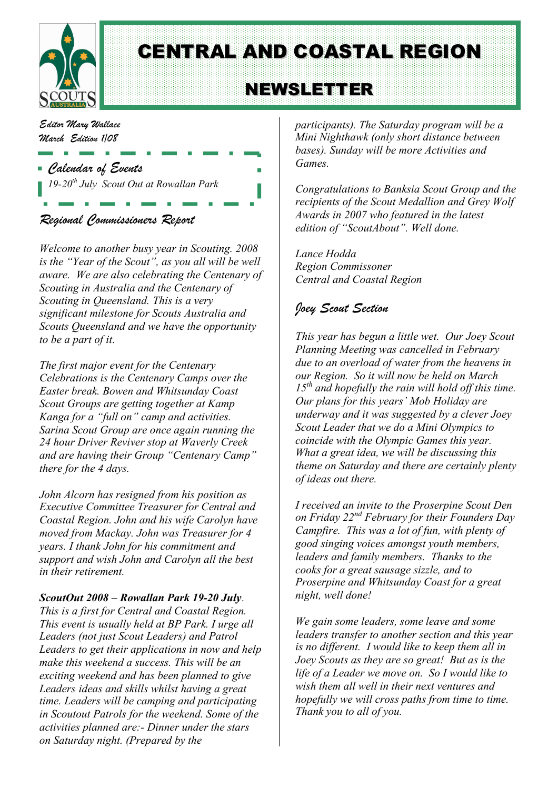

CENTRAL AND COASTAL REGION

# **NEWSLETTER**

*Editor Mary Wallace March Edition 1/08*

- *Calendar of Events 19-20th July Scout Out at Rowallan Park*
- *Regional Commissioners Report*

*Welcome to another busy year in Scouting. 2008 is the "Year of the Scout", as you all will be well aware. We are also celebrating the Centenary of Scouting in Australia and the Centenary of Scouting in Queensland. This is a very significant milestone for Scouts Australia and Scouts Queensland and we have the opportunity to be a part of it.*

*The first major event for the Centenary Celebrations is the Centenary Camps over the Easter break. Bowen and Whitsunday Coast Scout Groups are getting together at Kamp Kanga for a "full on" camp and activities. Sarina Scout Group are once again running the 24 hour Driver Reviver stop at Waverly Creek and are having their Group "Centenary Camp" there for the 4 days.*

*John Alcorn has resigned from his position as Executive Committee Treasurer for Central and Coastal Region. John and his wife Carolyn have moved from Mackay. John was Treasurer for 4 years. I thank John for his commitment and support and wish John and Carolyn all the best in their retirement.*

#### *ScoutOut 2008 – Rowallan Park 19-20 July.*

*This is a first for Central and Coastal Region. This event is usually held at BP Park. I urge all Leaders (not just Scout Leaders) and Patrol Leaders to get their applications in now and help make this weekend a success. This will be an exciting weekend and has been planned to give Leaders ideas and skills whilst having a great time. Leaders will be camping and participating in Scoutout Patrols for the weekend. Some of the activities planned are:- Dinner under the stars on Saturday night. (Prepared by the*

*participants). The Saturday program will be a Mini Nighthawk (only short distance between bases). Sunday will be more Activities and Games.*

*Congratulations to Banksia Scout Group and the recipients of the Scout Medallion and Grey Wolf Awards in 2007 who featured in the latest edition of "ScoutAbout". Well done.*

*Lance Hodda Region Commissoner Central and Coastal Region*

## *Joey Scout Section*

*This year has begun a little wet. Our Joey Scout Planning Meeting was cancelled in February due to an overload of water from the heavens in our Region. So it will now be held on March 15th and hopefully the rain will hold off this time. Our plans for this years' Mob Holiday are underway and it was suggested by a clever Joey Scout Leader that we do a Mini Olympics to coincide with the Olympic Games this year. What a great idea, we will be discussing this theme on Saturday and there are certainly plenty of ideas out there.*

*I received an invite to the Proserpine Scout Den on Friday 22nd February for their Founders Day Campfire. This was a lot of fun, with plenty of good singing voices amongst youth members, leaders and family members. Thanks to the cooks for a great sausage sizzle, and to Proserpine and Whitsunday Coast for a great night, well done!*

*We gain some leaders, some leave and some leaders transfer to another section and this year is no different. I would like to keep them all in Joey Scouts as they are so great! But as is the life of a Leader we move on. So I would like to wish them all well in their next ventures and hopefully we will cross paths from time to time. Thank you to all of you.*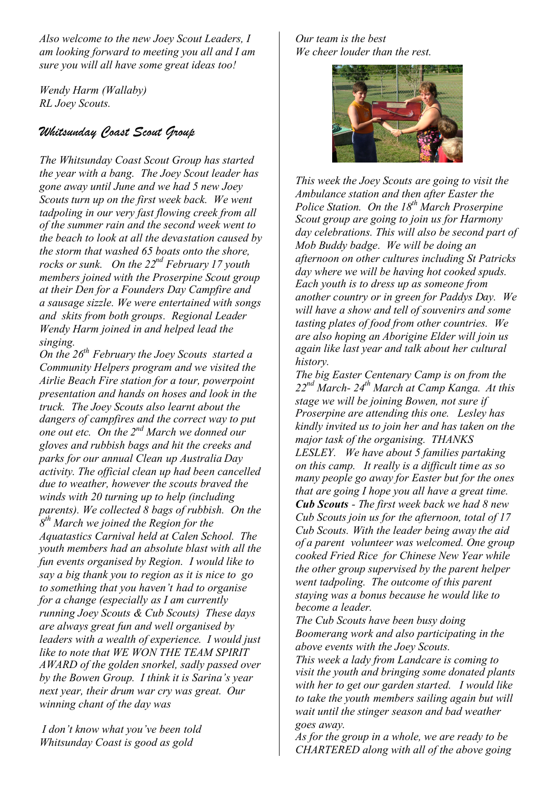*Also welcome to the new Joey Scout Leaders, I am looking forward to meeting you all and I am sure you will all have some great ideas too!*

*Wendy Harm (Wallaby) RL Joey Scouts.*

### *Whitsunday Coast Scout Group*

*The Whitsunday Coast Scout Group has started the year with a bang. The Joey Scout leader has gone away until June and we had 5 new Joey Scouts turn up on the first week back. We went tadpoling in our very fast flowing creek from all of the summer rain and the second week went to the beach to look at all the devastation caused by the storm that washed 65 boats onto the shore, rocks or sunk. On the 22nd February 17 youth members joined with the Proserpine Scout group at their Den for a Founders Day Campfire and a sausage sizzle. We were entertained with songs and skits from both groups. Regional Leader Wendy Harm joined in and helped lead the singing.*

*On the 26th February the Joey Scouts started a Community Helpers program and we visited the Airlie Beach Fire station for a tour, powerpoint presentation and hands on hoses and look in the truck. The Joey Scouts also learnt about the dangers of campfires and the correct way to put <i>one out etc. On the 2<sup>nd</sup> March we donned our gloves and rubbish bags and hit the creeks and parks for our annual Clean up Australia Day activity. The official clean up had been cancelled due to weather, however the scouts braved the winds with 20 turning up to help (including parents). We collected 8 bags of rubbish. On the 8 th March we joined the Region for the Aquatastics Carnival held at Calen School. The youth members had an absolute blast with all the fun events organised by Region. I would like to say a big thank you to region as it is nice to go to something that you haven't had to organise for a change (especially as I am currently running Joey Scouts & Cub Scouts) These days are always great fun and well organised by leaders with a wealth of experience. I would just like to note that WE WON THE TEAM SPIRIT AWARD of the golden snorkel, sadly passed over by the Bowen Group. I think it is Sarina's year next year, their drum war cry was great. Our winning chant of the day was*

*I don't know what you've been told Whitsunday Coast is good as gold*

*Our team is the best We cheer louder than the rest.*



*This week the Joey Scouts are going to visit the Ambulance station and then after Easter the Police Station. On the 18th March Proserpine Scout group are going to join us for Harmony day celebrations. This will also be second part of Mob Buddy badge. We will be doing an afternoon on other cultures including St Patricks day where we will be having hot cooked spuds. Each youth is to dress up as someone from another country or in green for Paddys Day. We will have a show and tell of souvenirs and some tasting plates of food from other countries. We are also hoping an Aborigine Elder will join us again like last year and talk about her cultural history.*

*The big Easter Centenary Camp is on from the 22nd March- 24th March at Camp Kanga. At this stage we will be joining Bowen, not sure if Proserpine are attending this one. Lesley has kindly invited us to join her and has taken on the major task of the organising. THANKS LESLEY. We have about 5 families partaking on this camp. It really is a difficult time as so many people go away for Easter but for the ones that are going I hope you all have a great time. Cub Scouts - The first week back we had 8 new Cub Scouts join us for the afternoon, total of 17 Cub Scouts. With the leader being away the aid of a parent volunteer was welcomed. One group cooked Fried Rice for Chinese New Year while the other group supervised by the parent helper went tadpoling. The outcome of this parent staying was a bonus because he would like to become a leader.*

*The Cub Scouts have been busy doing Boomerang work and also participating in the above events with the Joey Scouts.*

*This week a lady from Landcare is coming to visit the youth and bringing some donated plants with her to get our garden started. I would like to take the youth members sailing again but will wait until the stinger season and bad weather goes away.*

*As for the group in a whole, we are ready to be CHARTERED along with all of the above going*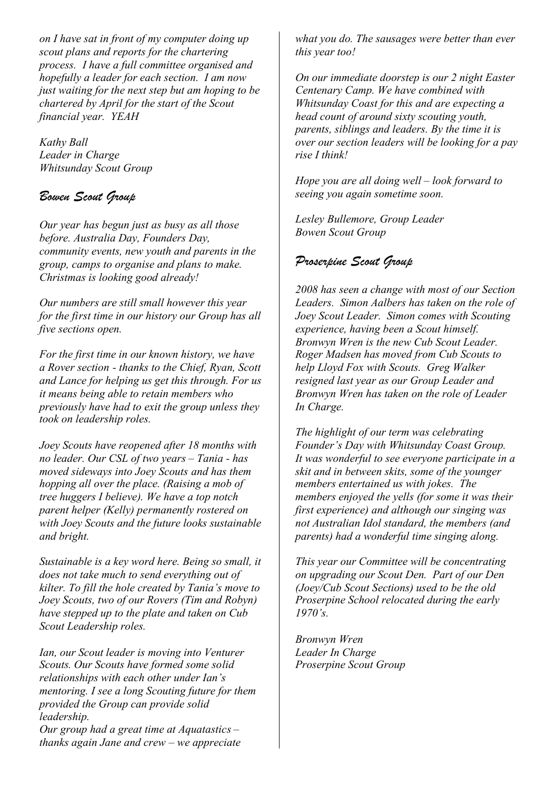*on I have sat in front of my computer doing up scout plans and reports for the chartering process. I have a full committee organised and hopefully a leader for each section. I am now just waiting for the next step but am hoping to be chartered by April for the start of the Scout financial year. YEAH*

*Kathy Ball Leader in Charge Whitsunday Scout Group*

# *Bowen Scout Group*

*Our year has begun just as busy as all those before. Australia Day, Founders Day, community events, new youth and parents in the group, camps to organise and plans to make. Christmas is looking good already!*

*Our numbers are still small however this year for the first time in our history our Group has all five sections open.*

*For the first time in our known history, we have a Rover section - thanks to the Chief, Ryan, Scott and Lance for helping us get this through. For us it means being able to retain members who previously have had to exit the group unless they took on leadership roles.*

*Joey Scouts have reopened after 18 months with no leader. Our CSL of two years – Tania - has moved sideways into Joey Scouts and has them hopping all over the place. (Raising a mob of tree huggers I believe). We have a top notch parent helper (Kelly) permanently rostered on with Joey Scouts and the future looks sustainable and bright.*

*Sustainable is a key word here. Being so small, it does not take much to send everything out of kilter. To fill the hole created by Tania's move to Joey Scouts, two of our Rovers (Tim and Robyn) have stepped up to the plate and taken on Cub Scout Leadership roles.*

*Ian, our Scout leader is moving into Venturer Scouts. Our Scouts have formed some solid relationships with each other under Ian's mentoring. I see a long Scouting future for them provided the Group can provide solid leadership.*

*Our group had a great time at Aquatastics – thanks again Jane and crew – we appreciate* *what you do. The sausages were better than ever this year too!*

*On our immediate doorstep is our 2 night Easter Centenary Camp. We have combined with Whitsunday Coast for this and are expecting a head count of around sixty scouting youth, parents, siblings and leaders. By the time it is over our section leaders will be looking for a pay rise I think!*

*Hope you are all doing well – look forward to seeing you again sometime soon.*

*Lesley Bullemore, Group Leader Bowen Scout Group*

# *Proserpine Scout Group*

*2008 has seen a change with most of our Section Leaders. Simon Aalbers has taken on the role of Joey Scout Leader. Simon comes with Scouting experience, having been a Scout himself. Bronwyn Wren is the new Cub Scout Leader. Roger Madsen has moved from Cub Scouts to help Lloyd Fox with Scouts. Greg Walker resigned last year as our Group Leader and Bronwyn Wren has taken on the role of Leader In Charge.*

*The highlight of our term was celebrating Founder's Day with Whitsunday Coast Group. It was wonderful to see everyone participate in a skit and in between skits, some of the younger members entertained us with jokes. The members enjoyed the yells (for some it was their first experience) and although our singing was not Australian Idol standard, the members (and parents) had a wonderful time singing along.*

*This year our Committee will be concentrating on upgrading our Scout Den. Part of our Den (Joey/Cub Scout Sections) used to be the old Proserpine School relocated during the early 1970's.*

*Bronwyn Wren Leader In Charge Proserpine Scout Group*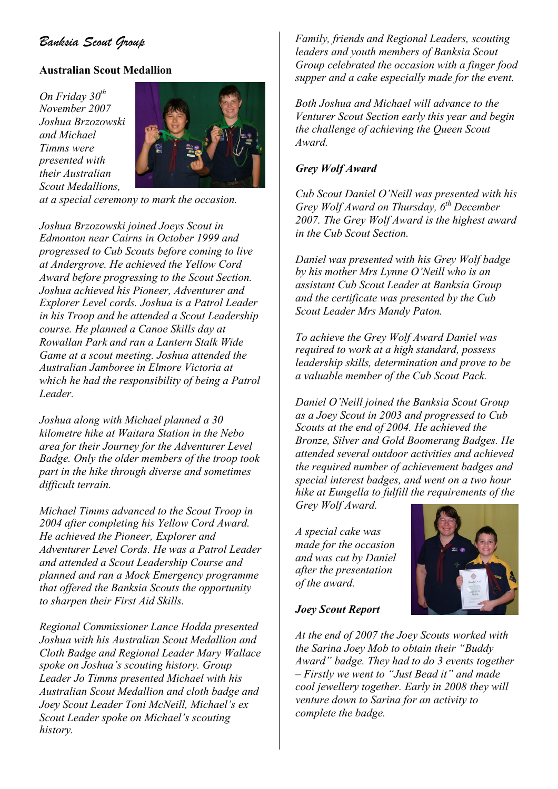# *Banksia Scout Group*

#### **Australian Scout Medallion**

*On Friday 30th November 2007 Joshua Brzozowski and Michael Timms were presented with their Australian Scout Medallions,*



*at a special ceremony to mark the occasion.*

*Joshua Brzozowski joined Joeys Scout in Edmonton near Cairns in October 1999 and progressed to Cub Scouts before coming to live at Andergrove. He achieved the Yellow Cord Award before progressing to the Scout Section. Joshua achieved his Pioneer, Adventurer and Explorer Level cords. Joshua is a Patrol Leader in his Troop and he attended a Scout Leadership course. He planned a Canoe Skills day at Rowallan Park and ran a Lantern Stalk Wide Game at a scout meeting. Joshua attended the Australian Jamboree in Elmore Victoria at which he had the responsibility of being a Patrol Leader.*

*Joshua along with Michael planned a 30 kilometre hike at Waitara Station in the Nebo area for their Journey for the Adventurer Level Badge. Only the older members of the troop took part in the hike through diverse and sometimes difficult terrain.*

*Michael Timms advanced to the Scout Troop in 2004 after completing his Yellow Cord Award. He achieved the Pioneer, Explorer and Adventurer Level Cords. He was a Patrol Leader and attended a Scout Leadership Course and planned and ran a Mock Emergency programme that offered the Banksia Scouts the opportunity to sharpen their First Aid Skills.*

*Regional Commissioner Lance Hodda presented Joshua with his Australian Scout Medallion and Cloth Badge and Regional Leader Mary Wallace spoke on Joshua's scouting history. Group Leader Jo Timms presented Michael with his Australian Scout Medallion and cloth badge and Joey Scout Leader Toni McNeill, Michael's ex Scout Leader spoke on Michael's scouting history.*

*Family, friends and Regional Leaders, scouting leaders and youth members of Banksia Scout Group celebrated the occasion with a finger food supper and a cake especially made for the event.*

*Both Joshua and Michael will advance to the Venturer Scout Section early this year and begin the challenge of achieving the Queen Scout Award.*

#### *Grey Wolf Award*

*Cub Scout Daniel O'Neill was presented with his Grey Wolf Award on Thursday, 6th December 2007. The Grey Wolf Award is the highest award in the Cub Scout Section.*

*Daniel was presented with his Grey Wolf badge by his mother Mrs Lynne O'Neill who is an assistant Cub Scout Leader at Banksia Group and the certificate was presented by the Cub Scout Leader Mrs Mandy Paton.*

*To achieve the Grey Wolf Award Daniel was required to work at a high standard, possess leadership skills, determination and prove to be a valuable member of the Cub Scout Pack.*

*Daniel O'Neill joined the Banksia Scout Group as a Joey Scout in 2003 and progressed to Cub Scouts at the end of 2004. He achieved the Bronze, Silver and Gold Boomerang Badges. He attended several outdoor activities and achieved the required number of achievement badges and special interest badges, and went on a two hour hike at Eungella to fulfill the requirements of the Grey Wolf Award.*

*A special cake was made for the occasion and was cut by Daniel after the presentation of the award.*



#### *Joey Scout Report*

*At the end of 2007 the Joey Scouts worked with the Sarina Joey Mob to obtain their "Buddy Award" badge. They had to do 3 events together – Firstly we went to "Just Bead it" and made cool jewellery together. Early in 2008 they will venture down to Sarina for an activity to complete the badge.*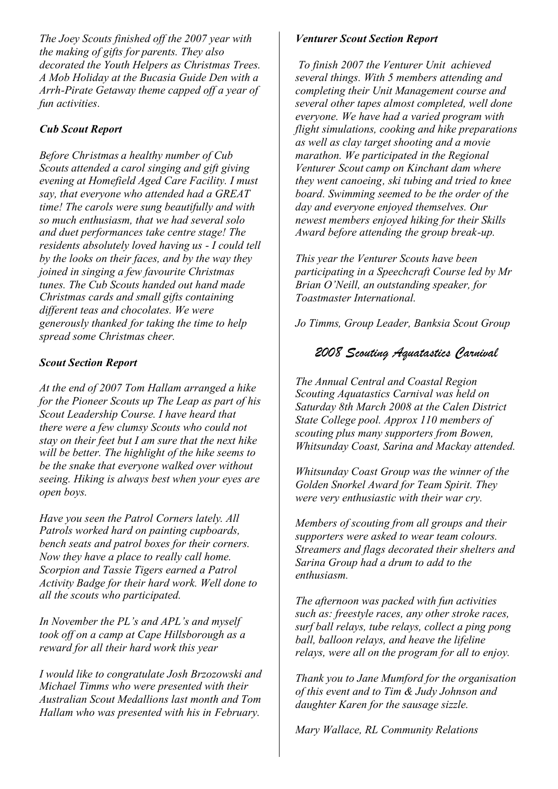*The Joey Scouts finished off the 2007 year with the making of gifts for parents. They also decorated the Youth Helpers as Christmas Trees. A Mob Holiday at the Bucasia Guide Den with a Arrh-Pirate Getaway theme capped off a year of fun activities.*

#### *Cub Scout Report*

*Before Christmas a healthy number of Cub Scouts attended a carol singing and gift giving evening at Homefield Aged Care Facility. I must say, that everyone who attended had a GREAT time! The carols were sung beautifully and with so much enthusiasm, that we had several solo and duet performances take centre stage! The residents absolutely loved having us - I could tell by the looks on their faces, and by the way they joined in singing a few favourite Christmas tunes. The Cub Scouts handed out hand made Christmas cards and small gifts containing different teas and chocolates. We were generously thanked for taking the time to help spread some Christmas cheer.*

#### *Scout Section Report*

*At the end of 2007 Tom Hallam arranged a hike for the Pioneer Scouts up The Leap as part of his Scout Leadership Course. I have heard that there were a few clumsy Scouts who could not stay on their feet but I am sure that the next hike will be better. The highlight of the hike seems to be the snake that everyone walked over without seeing. Hiking is always best when your eyes are open boys.*

*Have you seen the Patrol Corners lately. All Patrols worked hard on painting cupboards, bench seats and patrol boxes for their corners. Now they have a place to really call home. Scorpion and Tassie Tigers earned a Patrol Activity Badge for their hard work. Well done to all the scouts who participated.*

*In November the PL's and APL's and myself took off on a camp at Cape Hillsborough as a reward for all their hard work this year*

*I would like to congratulate Josh Brzozowski and Michael Timms who were presented with their Australian Scout Medallions last month and Tom Hallam who was presented with his in February.*

#### *Venturer Scout Section Report*

*To finish 2007 the Venturer Unit achieved several things. With 5 members attending and completing their Unit Management course and several other tapes almost completed, well done everyone. We have had a varied program with flight simulations, cooking and hike preparations as well as clay target shooting and a movie marathon. We participated in the Regional Venturer Scout camp on Kinchant dam where they went canoeing, ski tubing and tried to knee board. Swimming seemed to be the order of the day and everyone enjoyed themselves. Our newest members enjoyed hiking for their Skills Award before attending the group break-up.*

*This year the Venturer Scouts have been participating in a Speechcraft Course led by Mr Brian O'Neill, an outstanding speaker, for Toastmaster International.*

*Jo Timms, Group Leader, Banksia Scout Group*

### *2008 Scouting Aquatastics Carnival*

*The Annual Central and Coastal Region Scouting Aquatastics Carnival was held on Saturday 8th March 2008 at the Calen District State College pool. Approx 110 members of scouting plus many supporters from Bowen, Whitsunday Coast, Sarina and Mackay attended.*

*Whitsunday Coast Group was the winner of the Golden Snorkel Award for Team Spirit. They were very enthusiastic with their war cry.*

*Members of scouting from all groups and their supporters were asked to wear team colours. Streamers and flags decorated their shelters and Sarina Group had a drum to add to the enthusiasm.*

*The afternoon was packed with fun activities such as: freestyle races, any other stroke races, surf ball relays, tube relays, collect a ping pong ball, balloon relays, and heave the lifeline relays, were all on the program for all to enjoy.*

*Thank you to Jane Mumford for the organisation of this event and to Tim & Judy Johnson and daughter Karen for the sausage sizzle.*

*Mary Wallace, RL Community Relations*